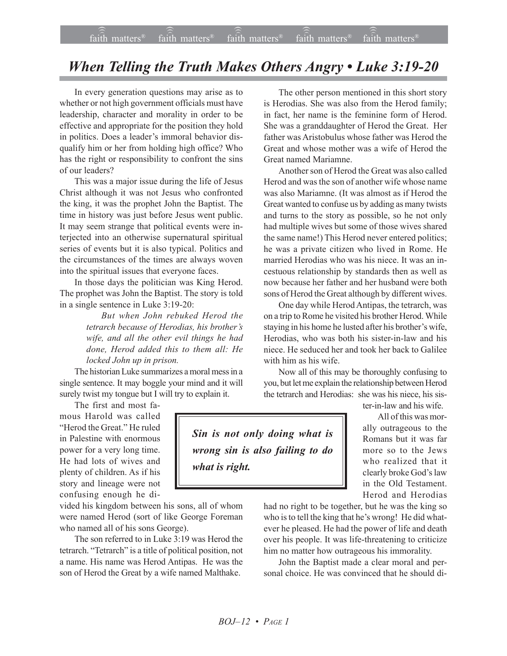## *When Telling the Truth Makes Others Angry • Luke 3:19-20*

In every generation questions may arise as to whether or not high government officials must have leadership, character and morality in order to be effective and appropriate for the position they hold in politics. Does a leader's immoral behavior disqualify him or her from holding high office? Who has the right or responsibility to confront the sins of our leaders?

This was a major issue during the life of Jesus Christ although it was not Jesus who confronted the king, it was the prophet John the Baptist. The time in history was just before Jesus went public. It may seem strange that political events were interjected into an otherwise supernatural spiritual series of events but it is also typical. Politics and the circumstances of the times are always woven into the spiritual issues that everyone faces.

In those days the politician was King Herod. The prophet was John the Baptist. The story is told in a single sentence in Luke 3:19-20:

> *But when John rebuked Herod the tetrarch because of Herodias, his brotherís wife, and all the other evil things he had done, Herod added this to them all: He locked John up in prison.*

The historian Luke summarizes a moral mess in a single sentence. It may boggle your mind and it will surely twist my tongue but I will try to explain it.

The first and most famous Harold was called "Herod the Great." He ruled in Palestine with enormous power for a very long time. He had lots of wives and plenty of children. As if his story and lineage were not confusing enough he di-

vided his kingdom between his sons, all of whom were named Herod (sort of like George Foreman who named all of his sons George).

The son referred to in Luke 3:19 was Herod the tetrarch. "Tetrarch" is a title of political position, not a name. His name was Herod Antipas. He was the son of Herod the Great by a wife named Malthake.

The other person mentioned in this short story is Herodias. She was also from the Herod family; in fact, her name is the feminine form of Herod. She was a granddaughter of Herod the Great. Her father was Aristobulus whose father was Herod the Great and whose mother was a wife of Herod the Great named Mariamne.

Another son of Herod the Great was also called Herod and was the son of another wife whose name was also Mariamne. (It was almost as if Herod the Great wanted to confuse us by adding as many twists and turns to the story as possible, so he not only had multiple wives but some of those wives shared the same name!) This Herod never entered politics; he was a private citizen who lived in Rome. He married Herodias who was his niece. It was an incestuous relationship by standards then as well as now because her father and her husband were both sons of Herod the Great although by different wives.

One day while Herod Antipas, the tetrarch, was on a trip to Rome he visited his brother Herod. While staying in his home he lusted after his brother's wife, Herodias, who was both his sister-in-law and his niece. He seduced her and took her back to Galilee with him as his wife.

Now all of this may be thoroughly confusing to you, but let me explain the relationship between Herod the tetrarch and Herodias: she was his niece, his sis-

ter-in-law and his wife.

All of this was morally outrageous to the Romans but it was far more so to the Jews who realized that it clearly broke God's law in the Old Testament. Herod and Herodias

had no right to be together, but he was the king so who is to tell the king that he's wrong! He did whatever he pleased. He had the power of life and death over his people. It was life-threatening to criticize him no matter how outrageous his immorality.

John the Baptist made a clear moral and personal choice. He was convinced that he should di-

*Sin is not only doing what is wrong sin is also failing to do what is right.*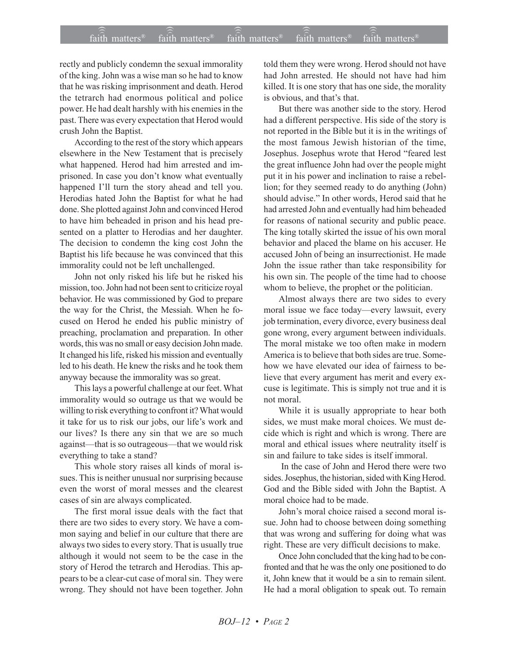## $\widehat{\widehat{\mathfrak{tair}}}$  matters  $\widehat{\widehat{\mathfrak{tair}}}$  matters  $\widehat{\widehat{\mathfrak{tair}}}$  matters  $\widehat{\widehat{\mathfrak{tair}}}$  matters  $\widehat{\widehat{\mathfrak{se}}}$  faith matters faith matters<sup>®</sup> faith matters<sup>®</sup> faith matters<sup>®</sup>

rectly and publicly condemn the sexual immorality of the king. John was a wise man so he had to know that he was risking imprisonment and death. Herod the tetrarch had enormous political and police power. He had dealt harshly with his enemies in the past. There was every expectation that Herod would crush John the Baptist.

According to the rest of the story which appears elsewhere in the New Testament that is precisely what happened. Herod had him arrested and imprisoned. In case you don't know what eventually happened I'll turn the story ahead and tell you. Herodias hated John the Baptist for what he had done. She plotted against John and convinced Herod to have him beheaded in prison and his head presented on a platter to Herodias and her daughter. The decision to condemn the king cost John the Baptist his life because he was convinced that this immorality could not be left unchallenged.

John not only risked his life but he risked his mission, too. John had not been sent to criticize royal behavior. He was commissioned by God to prepare the way for the Christ, the Messiah. When he focused on Herod he ended his public ministry of preaching, proclamation and preparation. In other words, this was no small or easy decision John made. It changed his life, risked his mission and eventually led to his death. He knew the risks and he took them anyway because the immorality was so great.

This lays a powerful challenge at our feet. What immorality would so outrage us that we would be willing to risk everything to confront it? What would it take for us to risk our jobs, our life's work and our lives? Is there any sin that we are so much against—that is so outrageous—that we would risk everything to take a stand?

This whole story raises all kinds of moral issues. This is neither unusual nor surprising because even the worst of moral messes and the clearest cases of sin are always complicated.

The first moral issue deals with the fact that there are two sides to every story. We have a common saying and belief in our culture that there are always two sides to every story. That is usually true although it would not seem to be the case in the story of Herod the tetrarch and Herodias. This appears to be a clear-cut case of moral sin. They were wrong. They should not have been together. John told them they were wrong. Herod should not have had John arrested. He should not have had him killed. It is one story that has one side, the morality is obvious, and that's that.

But there was another side to the story. Herod had a different perspective. His side of the story is not reported in the Bible but it is in the writings of the most famous Jewish historian of the time, Josephus. Josephus wrote that Herod "feared lest the great influence John had over the people might put it in his power and inclination to raise a rebellion; for they seemed ready to do anything (John) should advise." In other words, Herod said that he had arrested John and eventually had him beheaded for reasons of national security and public peace. The king totally skirted the issue of his own moral behavior and placed the blame on his accuser. He accused John of being an insurrectionist. He made John the issue rather than take responsibility for his own sin. The people of the time had to choose whom to believe, the prophet or the politician.

Almost always there are two sides to every moral issue we face today—every lawsuit, every job termination, every divorce, every business deal gone wrong, every argument between individuals. The moral mistake we too often make in modern America is to believe that both sides are true. Somehow we have elevated our idea of fairness to believe that every argument has merit and every excuse is legitimate. This is simply not true and it is not moral.

While it is usually appropriate to hear both sides, we must make moral choices. We must decide which is right and which is wrong. There are moral and ethical issues where neutrality itself is sin and failure to take sides is itself immoral.

 In the case of John and Herod there were two sides. Josephus, the historian, sided with King Herod. God and the Bible sided with John the Baptist. A moral choice had to be made.

John's moral choice raised a second moral issue. John had to choose between doing something that was wrong and suffering for doing what was right. These are very difficult decisions to make.

Once John concluded that the king had to be confronted and that he was the only one positioned to do it, John knew that it would be a sin to remain silent. He had a moral obligation to speak out. To remain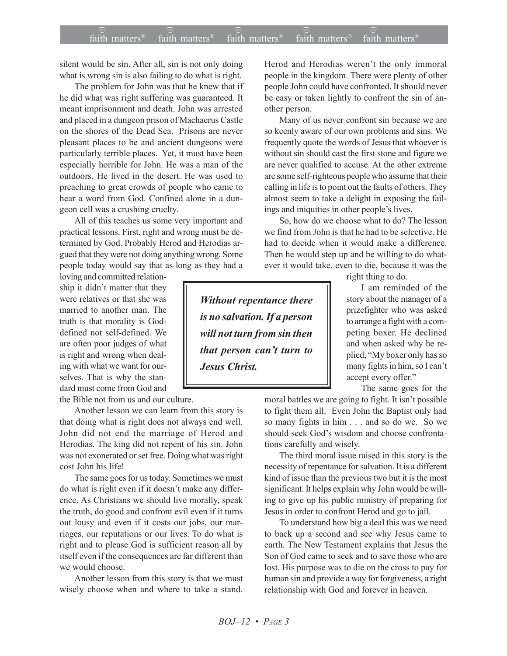## $\widehat{\widehat{\mathfrak{tair}}}$  matters  $\widehat{\widehat{\mathfrak{tair}}}$  matters  $\widehat{\widehat{\mathfrak{tair}}}$  matters  $\widehat{\widehat{\mathfrak{tair}}}$  matters  $\widehat{\widehat{\mathfrak{se}}}$  faith matters faith matters<sup>®</sup> faith matters<sup>®</sup> faith matters<sup> $\theta$ </sup>

silent would be sin. After all, sin is not only doing what is wrong sin is also failing to do what is right.

The problem for John was that he knew that if he did what was right suffering was guaranteed. It meant imprisonment and death. John was arrested and placed in a dungeon prison of Machaerus Castle on the shores of the Dead Sea. Prisons are never pleasant places to be and ancient dungeons were particularly terrible places. Yet, it must have been especially horrible for John. He was a man of the outdoors. He lived in the desert. He was used to preaching to great crowds of people who came to hear a word from God. Confined alone in a dungeon cell was a crushing cruelty.

All of this teaches us some very important and practical lessons. First, right and wrong must be determined by God. Probably Herod and Herodias argued that they were not doing anything wrong. Some people today would say that as long as they had a

loving and committed relationship it didn't matter that they were relatives or that she was married to another man. The truth is that morality is Goddefined not self-defined. We are often poor judges of what is right and wrong when dealing with what we want for ourselves. That is why the standard must come from God and

the Bible not from us and our culture.

Another lesson we can learn from this story is that doing what is right does not always end well. John did not end the marriage of Herod and Herodias. The king did not repent of his sin. John was not exonerated or set free. Doing what was right cost John his life!

The same goes for us today. Sometimes we must do what is right even if it doesn't make any difference. As Christians we should live morally, speak the truth, do good and confront evil even if it turns out lousy and even if it costs our jobs, our marriages, our reputations or our lives. To do what is right and to please God is sufficient reason all by itself even if the consequences are far different than we would choose.

Another lesson from this story is that we must wisely choose when and where to take a stand.

Herod and Herodias weren't the only immoral people in the kingdom. There were plenty of other people John could have confronted. It should never be easy or taken lightly to confront the sin of another person.

Many of us never confront sin because we are so keenly aware of our own problems and sins. We frequently quote the words of Jesus that whoever is without sin should cast the first stone and figure we are never qualified to accuse. At the other extreme are some self-righteous people who assume that their calling in life is to point out the faults of others. They almost seem to take a delight in exposing the failings and iniquities in other people's lives.

So, how do we choose what to do? The lesson we find from John is that he had to be selective. He had to decide when it would make a difference. Then he would step up and be willing to do whatever it would take, even to die, because it was the

right thing to do.

I am reminded of the story about the manager of a prizefighter who was asked to arrange a fight with a competing boxer. He declined and when asked why he replied, "My boxer only has so many fights in him, so I can't accept every offer."

The same goes for the

moral battles we are going to fight. It isn't possible to fight them all. Even John the Baptist only had so many fights in him . . . and so do we. So we should seek God's wisdom and choose confrontations carefully and wisely.

The third moral issue raised in this story is the necessity of repentance for salvation. It is a different kind of issue than the previous two but it is the most significant. It helps explain why John would be willing to give up his public ministry of preparing for Jesus in order to confront Herod and go to jail.

To understand how big a deal this was we need to back up a second and see why Jesus came to earth. The New Testament explains that Jesus the Son of God came to seek and to save those who are lost. His purpose was to die on the cross to pay for human sin and provide a way for forgiveness, a right relationship with God and forever in heaven.

*Without repentance there is no salvation. If a person will not turn from sin then that person canít turn to Jesus Christ.*